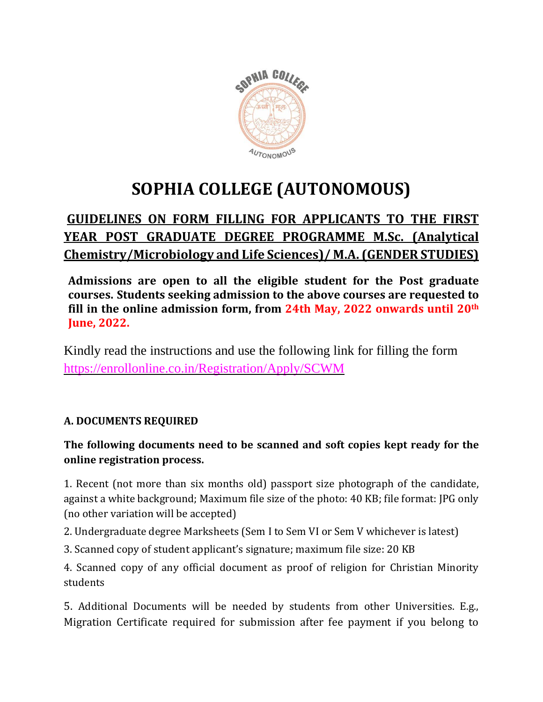

# **SOPHIA COLLEGE (AUTONOMOUS)**

## **GUIDELINES ON FORM FILLING FOR APPLICANTS TO THE FIRST YEAR POST GRADUATE DEGREE PROGRAMME M.Sc. (Analytical Chemistry/Microbiology and Life Sciences)/ M.A. (GENDER STUDIES)**

**Admissions are open to all the eligible student for the Post graduate courses. Students seeking admission to the above courses are requested to fill in the online admission form, from 24th May, 2022 onwards until 20th June, 2022.**

Kindly read the instructions and use the following link for filling the form <https://enrollonline.co.in/Registration/Apply/SCWM>

### **A. DOCUMENTS REQUIRED**

#### **The following documents need to be scanned and soft copies kept ready for the online registration process.**

1. Recent (not more than six months old) passport size photograph of the candidate, against a white background; Maximum file size of the photo: 40 KB; file format: JPG only (no other variation will be accepted)

2. Undergraduate degree Marksheets (Sem I to Sem VI or Sem V whichever is latest)

3. Scanned copy of student applicant's signature; maximum file size: 20 KB

4. Scanned copy of any official document as proof of religion for Christian Minority students

5. Additional Documents will be needed by students from other Universities. E.g., Migration Certificate required for submission after fee payment if you belong to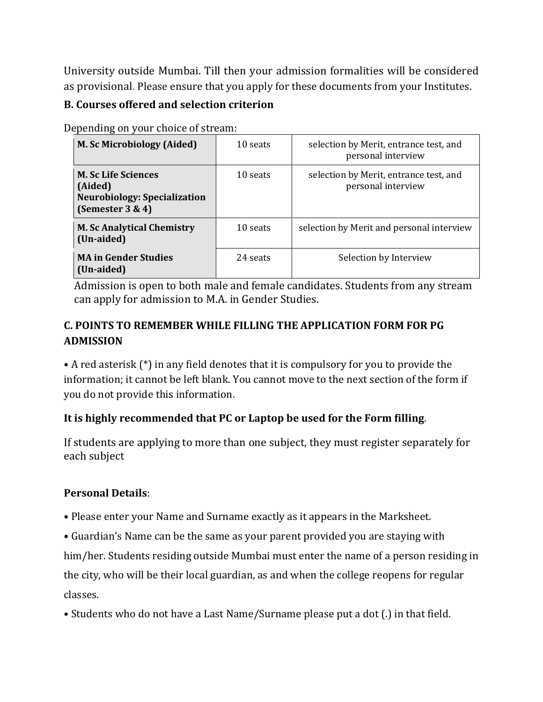University outside Mumbai. Till then your admission formalities will be considered as provisional. Please ensure that you apply for these documents from your Institutes.

#### **B. Courses offered and selection criterion**

Depending on your choice of stream:

| <b>M. Sc Microbiology (Aided)</b>                                                                    | 10 seats | selection by Merit, entrance test, and<br>personal interview |
|------------------------------------------------------------------------------------------------------|----------|--------------------------------------------------------------|
| <b>M. Sc Life Sciences</b><br>(Aided)<br><b>Neurobiology: Specialization</b><br>(Semester $3 \& 4$ ) | 10 seats | selection by Merit, entrance test, and<br>personal interview |
| <b>M. Sc Analytical Chemistry</b><br>(Un-aided)                                                      | 10 seats | selection by Merit and personal interview                    |
| <b>MA in Gender Studies</b><br>(Un-aided)                                                            | 24 seats | Selection by Interview                                       |

 Admission is open to both male and female candidates. Students from any stream can apply for admission to M.A. in Gender Studies.

#### **C. POINTS TO REMEMBER WHILE FILLING THE APPLICATION FORM FOR PG ADMISSION**

• A red asterisk (\*) in any field denotes that it is compulsory for you to provide the information; it cannot be left blank. You cannot move to the next section of the form if you do not provide this information.

#### **It is highly recommended that PC or Laptop be used for the Form filling**.

If students are applying to more than one subject, they must register separately for each subject

#### **Personal Details**:

- Please enter your Name and Surname exactly as it appears in the Marksheet.
- Guardian's Name can be the same as your parent provided you are staying with

him/her. Students residing outside Mumbai must enter the name of a person residing in the city, who will be their local guardian, as and when the college reopens for regular classes.

• Students who do not have a Last Name/Surname please put a dot (.) in that field.